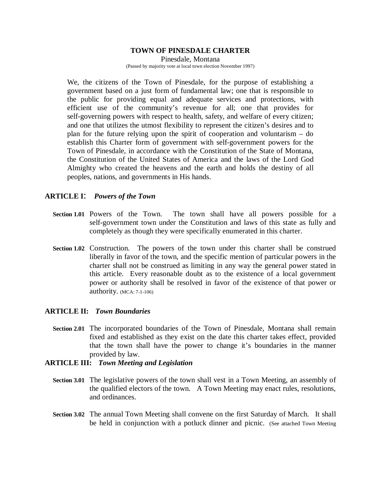# **TOWN OF PINESDALE CHARTER**

Pinesdale, Montana (Passed by majority vote at local town election November 1997)

We, the citizens of the Town of Pinesdale, for the purpose of establishing a government based on a just form of fundamental law; one that is responsible to the public for providing equal and adequate services and protections, with efficient use of the community's revenue for all; one that provides for self-governing powers with respect to health, safety, and welfare of every citizen; and one that utilizes the utmost flexibility to represent the citizen's desires and to plan for the future relying upon the spirit of cooperation and voluntarism – do establish this Charter form of government with self-government powers for the Town of Pinesdale, in accordance with the Constitution of the State of Montana, the Constitution of the United States of America and the laws of the Lord God Almighty who created the heavens and the earth and holds the destiny of all peoples, nations, and governments in His hands.

## **ARTICLE I**: *Powers of the Town*

- **Section 1.01** Powers of the Town. The town shall have all powers possible for a self-government town under the Constitution and laws of this state as fully and completely as though they were specifically enumerated in this charter.
- **Section 1.02** Construction. The powers of the town under this charter shall be construed liberally in favor of the town, and the specific mention of particular powers in the charter shall not be construed as limiting in any way the general power stated in this article. Every reasonable doubt as to the existence of a local government power or authority shall be resolved in favor of the existence of that power or authority. (MCA: 7-1-106)

## **ARTICLE II:** *Town Boundaries*

 **Section 2.01** The incorporated boundaries of the Town of Pinesdale, Montana shall remain fixed and established as they exist on the date this charter takes effect, provided that the town shall have the power to change it's boundaries in the manner provided by law.

## **ARTICLE III:** *Town Meeting and Legislation*

- **Section 3.01** The legislative powers of the town shall vest in a Town Meeting, an assembly of the qualified electors of the town. A Town Meeting may enact rules, resolutions, and ordinances.
- **Section 3.02** The annual Town Meeting shall convene on the first Saturday of March. It shall be held in conjunction with a potluck dinner and picnic. (See attached Town Meeting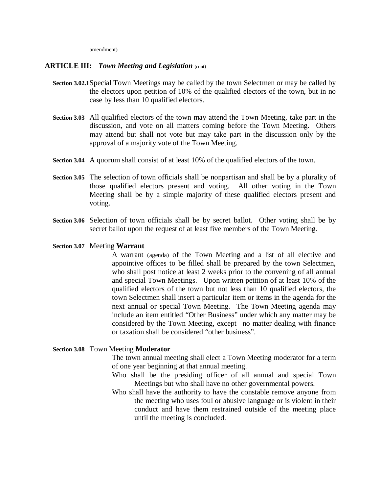amendment)

## **ARTICLE III:** *Town Meeting and Legislation* (cont)

- **Section 3.02.1**Special Town Meetings may be called by the town Selectmen or may be called by the electors upon petition of 10% of the qualified electors of the town, but in no case by less than 10 qualified electors.
- **Section 3.03** All qualified electors of the town may attend the Town Meeting, take part in the discussion, and vote on all matters coming before the Town Meeting. Others may attend but shall not vote but may take part in the discussion only by the approval of a majority vote of the Town Meeting.
- **Section 3.04** A quorum shall consist of at least 10% of the qualified electors of the town.
- **Section 3.05** The selection of town officials shall be nonpartisan and shall be by a plurality of those qualified electors present and voting. All other voting in the Town Meeting shall be by a simple majority of these qualified electors present and voting.
- **Section 3.06** Selection of town officials shall be by secret ballot. Other voting shall be by secret ballot upon the request of at least five members of the Town Meeting.
- **Section 3.07** Meeting **Warrant**

A warrant (agenda) of the Town Meeting and a list of all elective and appointive offices to be filled shall be prepared by the town Selectmen, who shall post notice at least 2 weeks prior to the convening of all annual and special Town Meetings. Upon written petition of at least 10% of the qualified electors of the town but not less than 10 qualified electors, the town Selectmen shall insert a particular item or items in the agenda for the next annual or special Town Meeting. The Town Meeting agenda may include an item entitled "Other Business" under which any matter may be considered by the Town Meeting, except no matter dealing with finance or taxation shall be considered "other business".

## **Section 3.08** Town Meeting **Moderator**

The town annual meeting shall elect a Town Meeting moderator for a term of one year beginning at that annual meeting.

- Who shall be the presiding officer of all annual and special Town Meetings but who shall have no other governmental powers.
- Who shall have the authority to have the constable remove anyone from the meeting who uses foul or abusive language or is violent in their conduct and have them restrained outside of the meeting place until the meeting is concluded.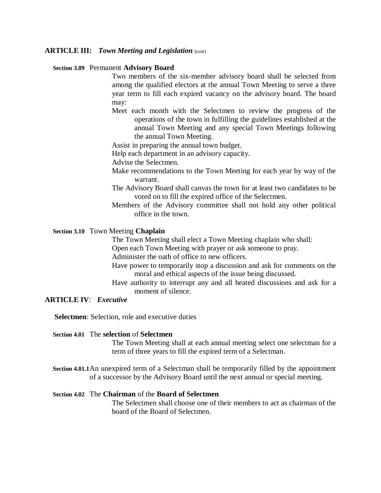## **ARTICLE III:** *Town Meeting and Legislation* (cont)

#### **Section 3.09** Permanent **Advisory Board**

Two members of the six-member advisory board shall be selected from among the qualified electors at the annual Town Meeting to serve a three year term to fill each expired vacancy on the advisory board. The board may:

- Meet each month with the Selectmen to review the progress of the operations of the town in fulfilling the guidelines established at the annual Town Meeting and any special Town Meetings following the annual Town Meeting.
- Assist in preparing the annual town budget.
- Help each department in an advisory capacity.
- Advise the Selectmen.
- Make recommendations to the Town Meeting for each year by way of the warrant.
- The Advisory Board shall canvas the town for at least two candidates to be voted on to fill the expired office of the Selectmen.
- Members of the Advisory committee shall not hold any other political office in the town.

## **Section 3.10** Town Meeting **Chaplain**

The Town Meeting shall elect a Town Meeting chaplain who shall:

Open each Town Meeting with prayer or ask someone to pray.

Administer the oath of office to new officers.

- Have power to temporarily stop a discussion and ask for comments on the moral and ethical aspects of the issue being discussed.
- Have authority to interrupt any and all heated discussions and ask for a moment of silence.

# **ARTICLE IV**: *Executive*

 **Selectmen**: Selection, role and executive duties

#### **Section 4.01** The **selection** of **Selectmen**

The Town Meeting shall at each annual meeting select one selectman for a term of three years to fill the expired term of a Selectman.

 **Section 4.01.1**An unexpired term of a Selectman shall be temporarily filled by the appointment of a successor by the Advisory Board until the next annual or special meeting.

## **Section 4.02** The **Chairman** of the **Board of Selectmen**

The Selectmen shall choose one of their members to act as chairman of the board of the Board of Selectmen.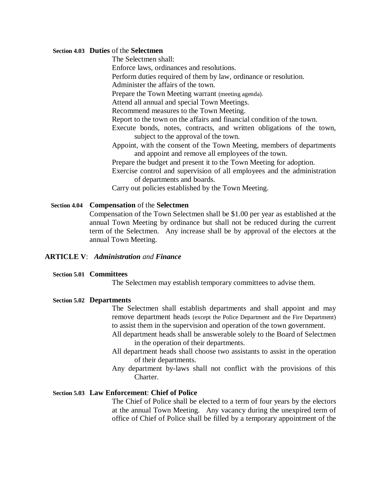#### **Section 4.03 Duties** of the **Selectmen**

The Selectmen shall:

Enforce laws, ordinances and resolutions.

Perform duties required of them by law, ordinance or resolution.

Administer the affairs of the town.

Prepare the Town Meeting warrant (meeting agenda).

Attend all annual and special Town Meetings.

Recommend measures to the Town Meeting.

Report to the town on the affairs and financial condition of the town.

Execute bonds, notes, contracts, and written obligations of the town, subject to the approval of the town.

Appoint, with the consent of the Town Meeting, members of departments and appoint and remove all employees of the town.

Prepare the budget and present it to the Town Meeting for adoption.

Exercise control and supervision of all employees and the administration of departments and boards.

Carry out policies established by the Town Meeting.

## **Section 4.04 Compensation** of the **Selectmen**

Compensation of the Town Selectmen shall be \$1.00 per year as established at the annual Town Meeting by ordinance but shall not be reduced during the current term of the Selectmen. Any increase shall be by approval of the electors at the annual Town Meeting.

## **ARTICLE V**: *Administration and Finance*

## **Section 5.01 Committees**

The Selectmen may establish temporary committees to advise them.

#### **Section 5.02 Departments**

The Selectmen shall establish departments and shall appoint and may remove department heads (except the Police Department and the Fire Department) to assist them in the supervision and operation of the town government.

- All department heads shall be answerable solely to the Board of Selectmen in the operation of their departments.
- All department heads shall choose two assistants to assist in the operation of their departments.
- Any department by-laws shall not conflict with the provisions of this Charter.

## **Section 5.03 Law Enforcement**: **Chief of Police**

The Chief of Police shall be elected to a term of four years by the electors at the annual Town Meeting. Any vacancy during the unexpired term of office of Chief of Police shall be filled by a temporary appointment of the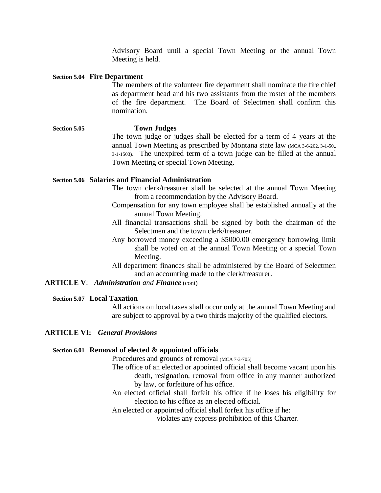Advisory Board until a special Town Meeting or the annual Town Meeting is held.

### **Section 5.04 Fire Department**

The members of the volunteer fire department shall nominate the fire chief as department head and his two assistants from the roster of the members of the fire department. The Board of Selectmen shall confirm this nomination.

## **Section 5.05 Town Judges** The town judge or judges shall be elected for a term of 4 years at the annual Town Meeting as prescribed by Montana state law (MCA 3-6-202, 3-1-50,. 3-1-1503). The unexpired term of a town judge can be filled at the annual Town Meeting or special Town Meeting.

## **Section 5.06 Salaries and Financial Administration**

- The town clerk/treasurer shall be selected at the annual Town Meeting from a recommendation by the Advisory Board.
- Compensation for any town employee shall be established annually at the annual Town Meeting.
- All financial transactions shall be signed by both the chairman of the Selectmen and the town clerk/treasurer.
- Any borrowed money exceeding a \$5000.00 emergency borrowing limit shall be voted on at the annual Town Meeting or a special Town Meeting.
- All department finances shall be administered by the Board of Selectmen and an accounting made to the clerk/treasurer.

## **ARTICLE V**: *Administration and Finance* (cont)

### **Section 5.07 Local Taxation**

All actions on local taxes shall occur only at the annual Town Meeting and are subject to approval by a two thirds majority of the qualified electors.

## **ARTICLE VI:** *General Provisions*

#### **Section 6.01 Removal of elected & appointed officials**

Procedures and grounds of removal (MCA 7-3-705)

- The office of an elected or appointed official shall become vacant upon his death, resignation, removal from office in any manner authorized by law, or forfeiture of his office.
- An elected official shall forfeit his office if he loses his eligibility for election to his office as an elected official.

An elected or appointed official shall forfeit his office if he:

violates any express prohibition of this Charter.